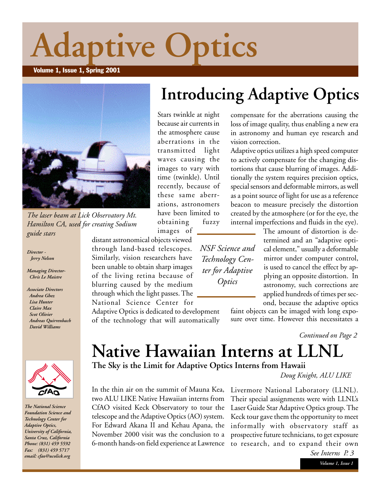# **Adaptive Optics**

#### Volume 1, Issue 1, Spring 2001



*The laser beam at Lick Observatory Mt. Hamilton CA, used for creating Sodium guide stars*

*Director - Jerry Nelson*

*Managing Director- Chris Le Maistre*

*Associate Directors Andrea Ghez Lisa Hunter Claire Max Scot Olivier Andreas Quirrenbach David Williams*



*The National Science Foundation Science and Technology Center for Adaptive Optics, University of California, Santa Cruz, California Phone: (831) 459 5592 Fax: (831) 459 5717 email: cfao@ucolick.org*

# **Introducing Adaptive Optics**

Stars twinkle at night because air currents in the atmosphere cause aberrations in the transmitted light waves causing the images to vary with time (twinkle). Until recently, because of these same aberrations, astronomers have been limited to obtaining fuzzy

images of

distant astronomical objects viewed through land-based telescopes. Similarly, vision researchers have been unable to obtain sharp images of the living retina because of blurring caused by the medium through which the light passes. The National Science Center for

Adaptive Optics is dedicated to development of the technology that will automatically compensate for the aberrations causing the loss of image quality, thus enabling a new era in astronomy and human eye research and vision correction.

Adaptive optics utilizes a high speed computer to actively compensate for the changing distortions that cause blurring of images. Additionally the system requires precision optics, special sensors and deformable mirrors, as well as a point source of light for use as a reference beacon to measure precisely the distortion created by the atmosphere (or for the eye, the internal imperfections and fluids in the eye).

*NSF Science and Technology Center for Adaptive Optics*

The amount of distortion is determined and an "adaptive optical element," usually a deformable mirror under computer control, is used to cancel the effect by applying an opposite distortion. In astronomy, such corrections are applied hundreds of times per second, because the adaptive optics

faint objects can be imaged with long exposure over time. However this necessitates a

*Continued on Page 2*

# **Native Hawaiian Interns at LLNL**

**The Sky is the Limit for Adaptive Optics Interns from Hawaii**

### *Doug Knight, ALU LIKE*

In the thin air on the summit of Mauna Kea, two ALU LIKE Native Hawaiian interns from CfAO visited Keck Observatory to tour the telescope and the Adaptive Optics (AO) system. For Edward Akana II and Kehau Apana, the November 2000 visit was the conclusion to a 6-month hands-on field experience at Lawrence

Livermore National Laboratory (LLNL). Their special assignments were with LLNL's Laser Guide Star Adaptive Optics group. The Keck tour gave them the opportunity to meet informally with observatory staff as prospective future technicians, to get exposure to research, and to expand their own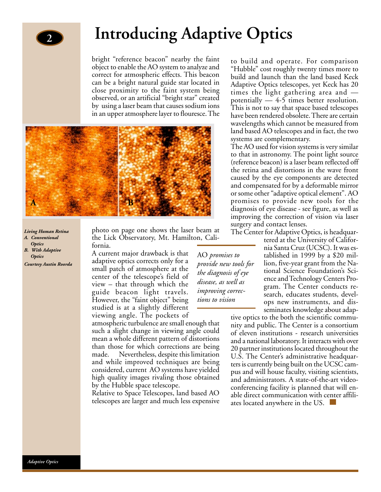

## **Introducing Adaptive Optics**

bright "reference beacon" nearby the faint object to enable the AO system to analyze and correct for atmospheric effects. This beacon can be a bright natural guide star located in close proximity to the faint system being observed, or an artificial "bright star" created by using a laser beam that causes sodium ions in an upper atmosphere layer to flouresce. The



*Living Human Retina A. Conventional Optics B. With Adaptive Optics Courtesy Austin Roorda* photo on page one shows the laser beam at the Lick Observatory, Mt. Hamilton, California.

A current major drawback is that adaptive optics corrects only for a small patch of atmosphere at the center of the telescope's field of view – that through which the guide beacon light travels. However, the "faint object" being studied is at a slightly different viewing angle. The pockets of

atmospheric turbulence are small enough that such a slight change in viewing angle could mean a whole different pattern of distortions than those for which corrections are being made. Nevertheless, despite this limitation and while improved techniques are being considered, current AO systems have yielded high quality images rivaling those obtained by the Hubble space telescope.

Relative to Space Telescopes, land based AO telescopes are larger and much less expensive

AO *promises to provide new tools for the diagnosis of eye disease, as well as improving corrections to vision*

to build and operate. For comparison "Hubble" cost roughly twenty times more to build and launch than the land based Keck Adaptive Optics telescopes, yet Keck has 20 times the light gathering area and potentially — 4-5 times better resolution. This is not to say that space based telescopes have been rendered obsolete. There are certain wavelengths which cannot be measured from land based AO telescopes and in fact, the two systems are complementary.

The AO used for vision systems is very similar to that in astronomy. The point light source (reference beacon) is a laser beam reflected off the retina and distortions in the wave front caused by the eye components are detected and compensated for by a deformable mirror or some other "adaptive optical element". AO promises to provide new tools for the diagnosis of eye disease - see figure, as well as improving the correction of vision via laser surgery and contact lenses.

The Center for Adaptive Optics, is headquar-

tered at the University of California Santa Cruz (UCSC). It was established in 1999 by a \$20 million, five-year grant from the National Science Foundation's Science and Technology Centers Program. The Center conducts research, educates students, develops new instruments, and disseminates knowledge about adap-

tive optics to the both the scientific community and public. The Center is a consortium of eleven institutions - research universities and a national laboratory. It interacts with over 20 partner institutions located throughout the U.S. The Center's administrative headquarters is currently being built on the UCSC campus and will house faculty, visiting scientists, and administrators. A state-of-the-art videoconferencing facility is planned that will enable direct communication with center affiliates located anywhere in the US.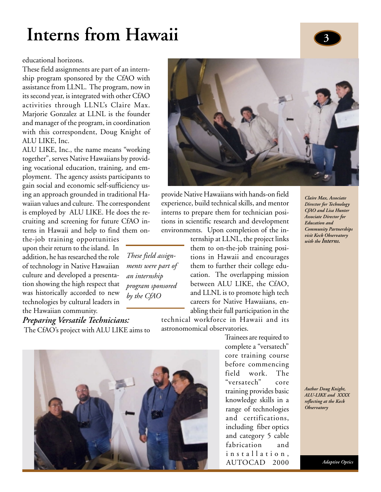# **Interns from Hawaii**

educational horizons.

These field assignments are part of an internship program sponsored by the CfAO with assistance from LLNL. The program, now in its second year, is integrated with other CfAO activities through LLNL's Claire Max. Marjorie Gonzalez at LLNL is the founder and manager of the program, in coordination with this correspondent, Doug Knight of ALU LIKE, Inc.

ALU LIKE, Inc., the name means "working together", serves Native Hawaiians by providing vocational education, training, and employment. The agency assists participants to gain social and economic self-sufficiency using an approach grounded in traditional Hawaiian values and culture. The correspondent is employed by ALU LIKE. He does the recruiting and screening for future CfAO interns in Hawaii and help to find them on-

the-job training opportunities upon their return to the island. In addition, he has researched the role of technology in Native Hawaiian culture and developed a presentation showing the high respect that was historically accorded to new technologies by cultural leaders in the Hawaiian community.

*Preparing Versatile Technicians:* The CfAO's project with ALU LIKE aims to



provide Native Hawaiians with hands-on field experience, build technical skills, and mentor interns to prepare them for technician positions in scientific research and development environments. Upon completion of the in-

> ternship at LLNL, the project links them to on-the-job training positions in Hawaii and encourages them to further their college education. The overlapping mission between ALU LIKE, the CfAO, and LLNL is to promote high tech careers for Native Hawaiians, enabling their full participation in the

technical workforce in Hawaii and its astronomomical observatories.

> Trainees are required to complete a "versatech" core training course before commencing field work. The "versatech" core training provides basic knowledge skills in a range of technologies and certifications, including fiber optics and category 5 cable fabrication and installation, AUTOCAD 2000

*Claire Max, Associate Director for Technology CfAO and Lisa Hunter Associate Director for Education and Community Partnerships visit Keck Observatory with the Interns.*

**3**

*Author Doug Knight, ALU-LIKE and XXXX reflecting at the Keck Observatory*

*Adaptive Optics*



*These field assignments were part of*

*an internship program sponsored by the CfAO*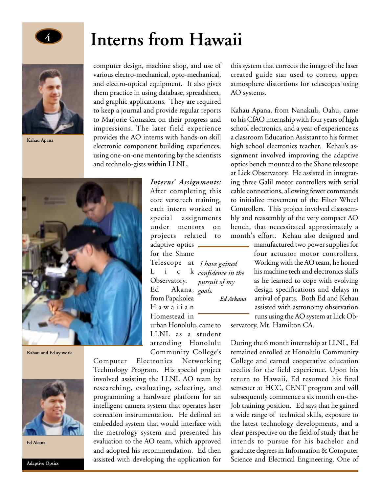

# **Interns from Hawaii**



**Kahau Apana**

computer design, machine shop, and use of various electro-mechanical, opto-mechanical, and electro-optical equipment. It also gives them practice in using database, spreadsheet, and graphic applications. They are required to keep a journal and provide regular reports to Marjorie Gonzalez on their progress and impressions. The later field experience provides the AO interns with hands-on skill electronic component building experiences, using one-on-one mentoring by the scientists and technolo-gists within LLNL.



**Kahau and Ed ay work**



**Ed Akana**

**Adaptive Optics**

*Interns' Assignments:* After completing this core versatech training, each intern worked at special assignments under mentors on projects related to adaptive optics.

Telescope at  *I have gained*  $L$  i  $c$ Observatory. Ed Akana, *goals.* from Papakolea Hawaiian Homestead in

for the Shane

urban Honolulu, came to LLNL as a student attending Honolulu Community College's

Computer Electronics Networking Technology Program. His special project involved assisting the LLNL AO team by researching, evaluating, selecting, and programming a hardware platform for an intelligent camera system that operates laser correction instrumentation. He defined an embedded system that would interface with the metrology system and presented his evaluation to the AO team, which approved and adopted his recommendation. Ed then assisted with developing the application for

this system that corrects the image of the laser created guide star used to correct upper atmosphere distortions for telescopes using AO systems.

Kahau Apana, from Nanakuli, Oahu, came to his CfAO internship with four years of high school electronics, and a year of experience as a classroom Education Assistant to his former high school electronics teacher. Kehau's assignment involved improving the adaptive optics bench mounted to the Shane telescope at Lick Observatory. He assisted in integrating three Galil motor controllers with serial cable connections, allowing fewer commands to initialize movement of the Filter Wheel Controllers. This project involved disassembly and reassembly of the very compact AO bench, that necessitated approximately a month's effort. Kehau also designed and

manufactured two power supplies for four actuator motor controllers. Working with the AO team, he honed his machine tech and electronics skills as he learned to cope with evolving design specifications and delays in arrival of parts. Both Ed and Kehau assisted with astronomy observation runs using the AO system at Lick Ob-

servatory, Mt. Hamilton CA.

During the 6 month internship at LLNL, Ed remained enrolled at Honolulu Community College and earned cooperative education credits for the field experience. Upon his return to Hawaii, Ed resumed his final semester at HCC, CENT program and will subsequently commence a six month on-the-Job training position. Ed says that he gained a wide range of technical skills, exposure to the latest technology developments, and a clear perspective on the field of study that he intends to pursue for his bachelor and graduate degrees in Information & Computer Science and Electrical Engineering. One of

*confidence in the pursuit of my Ed Arkana*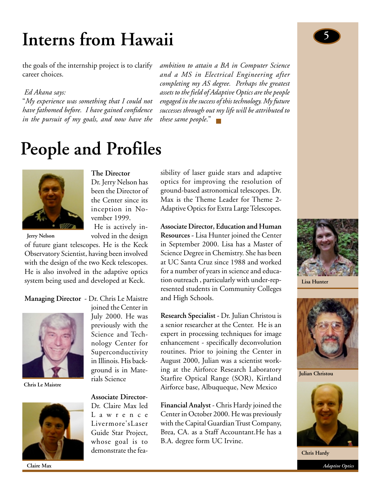# **Interns from Hawaii**

the goals of the internship project is to clarify career choices.

#### *Ed Akana says:*

"*My experience was something that I could not have fathomed before. I have gained confidence in the pursuit of my goals, and now have the* *ambition to attain a BA in Computer Science and a MS in Electrical Engineering after completing my AS degree. Perhaps the greatest assets to the field of Adaptive Optics are the people engaged in the success of this technology. My future successes through out my life will be attributed to these same people*."

# **People and Profiles**



### **The Director**

Dr. Jerry Nelson has been the Director of the Center since its inception in November 1999.

 He is actively involved in the design

**Jerry Nelson**

of future giant telescopes. He is the Keck Observatory Scientist, having been involved with the design of the two Keck telescopes. He is also involved in the adaptive optics system being used and developed at Keck.

**Managing Director** - Dr. Chris Le Maistre



**Chris Le Maistre**



**Claire Max**

joined the Center in July 2000. He was previously with the Science and Technology Center for Superconductivity in Illinois. His background is in Materials Science

#### **Associate Director**-

Dr. Claire Max led Lawrence Livermore'sLaser Guide Star Project, whose goal is to demonstrate the feasibility of laser guide stars and adaptive optics for improving the resolution of ground-based astronomical telescopes. Dr. Max is the Theme Leader for Theme 2- Adaptive Optics for Extra Large Telescopes.

**Associate Director, Education and Human Resources -** Lisa Hunter joined the Center in September 2000. Lisa has a Master of Science Degree in Chemistry. She has been at UC Santa Cruz since 1988 and worked for a number of years in science and education outreach , particularly with under-represented students in Community Colleges and High Schools.

**Research Specialist -** Dr. Julian Christou is a senior researcher at the Center. He is an expert in processing techniques for image enhancement - specifically deconvolution routines. Prior to joining the Center in August 2000, Julian was a scientist working at the Airforce Research Laboratory Starfire Optical Range (SOR), Kirtland Airforce base, Albuqueque, New Mexico

**Financial Analyst** - Chris Hardy joined the Center in October 2000. He was previously with the Capital Guardian Trust Company, Brea, CA. as a Staff Accountant.He has a B.A. degree form UC Irvine.



**Lisa Hunter**



**Julian Christou**



**Chris Hardy**

**Adaptive Optics** *Adaptive Optics*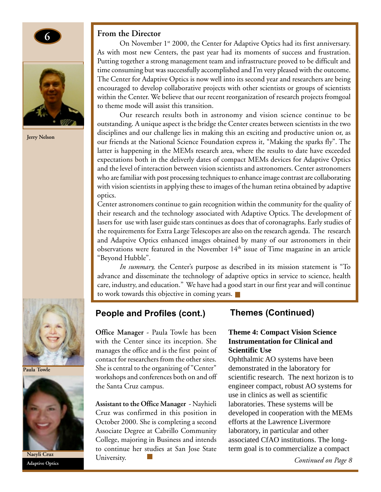



**Jerry Nelson**



**Paula Towle**



**Adaptive Optics Naeyli Cruz**

### **From the Director**

On November 1<sup>st</sup> 2000, the Center for Adaptive Optics had its first anniversary. As with most new Centers, the past year had its moments of success and frustration. Putting together a strong management team and infrastructure proved to be difficult and time consuming but was successfully accomplished and I'm very pleased with the outcome. The Center for Adaptive Optics is now well into its second year and researchers are being encouraged to develop collaborative projects with other scientists or groups of scientists within the Center. We believe that our recent reorganization of research projects fromgoal to theme mode will assist this transition.

Our research results both in astronomy and vision science continue to be outstanding. A unique aspect is the bridge the Center creates between scientists in the two disciplines and our challenge lies in making this an exciting and productive union or, as our friends at the National Science Foundation express it, "Making the sparks fly". The latter is happening in the MEMs research area, where the results to date have exceeded expectations both in the deliverly dates of compact MEMs devices for Adaptive Optics and the level of interaction between vision scientists and astronomers. Center astronomers who are familiar with post processing techniques to enhance image contrast are collaborating with vision scientists in applying these to images of the human retina obtained by adaptive optics.

Center astronomers continue to gain recognition within the community for the quality of their research and the technology associated with Adaptive Optics. The development of lasers for use with laser guide stars continues as does that of coronagraphs. Early studies of the requirements for Extra Large Telescopes are also on the research agenda. The research and Adaptive Optics enhanced images obtained by many of our astronomers in their observations were featured in the November  $14<sup>th</sup>$  issue of Time magazine in an article "Beyond Hubble".

*In summary,* the Center's purpose as described in its mission statement is "To advance and disseminate the technology of adaptive optics in service to science, health care, industry, and education." We have had a good start in our first year and will continue to work towards this objective in coming years.

### **People and Profiles (cont.)**

**Office Manager -** Paula Towle has been with the Center since its inception. She manages the office and is the first point of contact for researchers from the other sites. She is central to the organizing of "Center" workshops and conferences both on and off the Santa Cruz campus.

**Assistant to the Office Manager** - Nayhieli Cruz was confirmed in this position in October 2000. She is completing a second Associate Degree at Cabrillo Community College, majoring in Business and intends to continue her studies at San Jose State University.

### **Themes (Continued)**

### **Theme 4: Compact Vision Science Instrumentation for Clinical and Scientific Use**

Ophthalmic AO systems have been demonstrated in the laboratory for scientific research. The next horizon is to engineer compact, robust AO systems for use in clinics as well as scientific laboratories. These systems will be developed in cooperation with the MEMs efforts at the Lawrence Livermore laboratory, in particular and other associated CfAO institutions. The longterm goal is to commercialize a compact

*Continued on Page 8*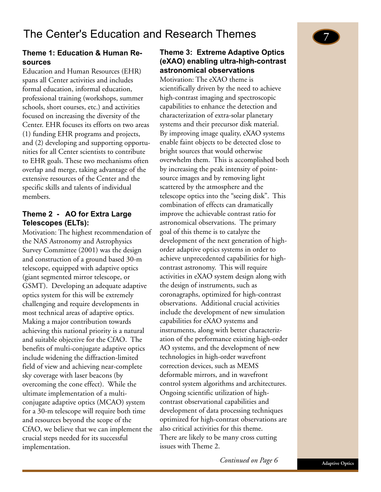### **Theme 1: Education & Human Resources**

Education and Human Resources (EHR) spans all Center activities and includes formal education, informal education, professional training (workshops, summer schools, short courses, etc.) and activities focused on increasing the diversity of the Center. EHR focuses its efforts on two areas (1) funding EHR programs and projects, and (2) developing and supporting opportunities for all Center scientists to contribute to EHR goals. These two mechanisms often overlap and merge, taking advantage of the extensive resources of the Center and the specific skills and talents of individual members.

### **Theme 2 - AO for Extra Large Telescopes (ELTs):**

Motivation: The highest recommendation of the NAS Astronomy and Astrophysics Survey Committee (2001) was the design and construction of a ground based 30-m telescope, equipped with adaptive optics (giant segmented mirror telescope, or GSMT). Developing an adequate adaptive optics system for this will be extremely challenging and require developments in most technical areas of adaptive optics. Making a major contribution towards achieving this national priority is a natural and suitable objective for the CfAO. The benefits of multi-conjugate adaptive optics include widening the diffraction-limited field of view and achieving near-complete sky coverage with laser beacons (by overcoming the cone effect). While the ultimate implementation of a multiconjugate adaptive optics (MCAO) system for a 30-m telescope will require both time and resources beyond the scope of the CfAO, we believe that we can implement the crucial steps needed for its successful implementation.

### **Theme 3: Extreme Adaptive Optics (eXAO) enabling ultra-high-contrast astronomical observations**

Motivation: The eXAO theme is scientifically driven by the need to achieve high-contrast imaging and spectroscopic capabilities to enhance the detection and characterization of extra-solar planetary systems and their precursor disk material. By improving image quality, eXAO systems enable faint objects to be detected close to bright sources that would otherwise overwhelm them. This is accomplished both by increasing the peak intensity of pointsource images and by removing light scattered by the atmosphere and the telescope optics into the "seeing disk". This combination of effects can dramatically improve the achievable contrast ratio for astronomical observations. The primary goal of this theme is to catalyze the development of the next generation of highorder adaptive optics systems in order to achieve unprecedented capabilities for highcontrast astronomy. This will require activities in eXAO system design along with the design of instruments, such as coronagraphs, optimized for high-contrast observations. Additional crucial activities include the development of new simulation capabilities for eXAO systems and instruments, along with better characterization of the performance existing high-order AO systems, and the development of new technologies in high-order wavefront correction devices, such as MEMS deformable mirrors, and in wavefront control system algorithms and architectures. Ongoing scientific utilization of highcontrast observational capabilities and development of data processing techniques optimized for high-contrast observations are also critical activities for this theme. There are likely to be many cross cutting issues with Theme 2.

*Continued on Page 6*